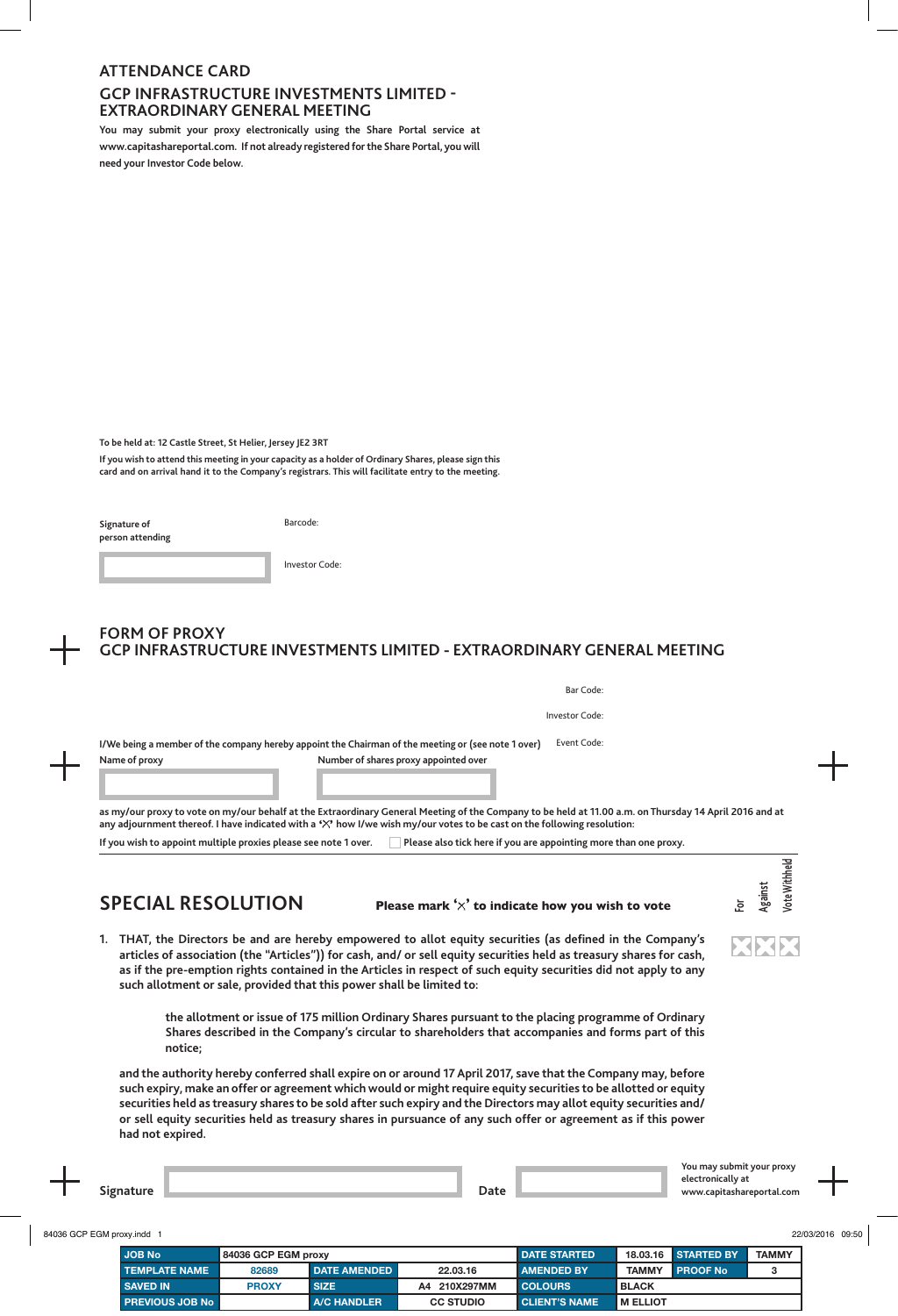# **ATTENDANCE CARD GCP INFRASTRUCTURE INVESTMENTS LIMITED - EXTRAORDINARY GENERAL MEETING**

**You may submit your proxy electronically using the Share Portal service at www.capitashareportal.com. If not already registered for the Share Portal, you will need your Investor Code below.**

**To be held at: 12 Castle Street, St Helier, Jersey JE2 3RT**

**If you wish to attend this meeting in your capacity as a holder of Ordinary Shares, please sign this card and on arrival hand it to the Company's registrars. This will facilitate entry to the meeting.**

**Signature of person attending** Barcode:

| Investor Code: |  |  |
|----------------|--|--|
|                |  |  |

# **FORM OF PROXY GCP INFRASTRUCTURE INVESTMENTS LIMITED - EXTRAORDINARY GENERAL MEETING**

|               | Bar Code:                                                                                                         |
|---------------|-------------------------------------------------------------------------------------------------------------------|
|               | Investor Code:                                                                                                    |
|               | Event Code:<br>I/We being a member of the company hereby appoint the Chairman of the meeting or (see note 1 over) |
| Name of proxy | Number of shares proxy appointed over                                                                             |
|               |                                                                                                                   |

**as my/our proxy to vote on my/our behalf at the Extraordinary General Meeting of the Company to be held at 11.00 a.m. on Thursday 14 April 2016 and at any adjournment thereof. I have indicated with a ' ' how I/we wish my/our votes to be cast on the following resolution:** If you wish to appoint multiple proxies please see note 1 over. **Please also tick here if you are appointing more than one proxy**.

## **SPECIAL RESOLUTION Please mark ' ' to indicate how you wish to vote**

**1. THAT, the Directors be and are hereby empowered to allot equity securities (as defined in the Company's articles of association (the "Articles")) for cash, and/ or sell equity securities held as treasury shares for cash, as if the pre-emption rights contained in the Articles in respect of such equity securities did not apply to any such allotment or sale, provided that this power shall be limited to:**

> **the allotment or issue of 175 million Ordinary Shares pursuant to the placing programme of Ordinary Shares described in the Company's circular to shareholders that accompanies and forms part of this notice;**

**and the authority hereby conferred shall expire on or around 17 April 2017, save that the Company may, before such expiry, make an offer or agreement which would or might require equity securities to be allotted or equity securities held as treasury shares to be sold after such expiry and the Directors may allot equity securities and/ or sell equity securities held as treasury shares in pursuance of any such offer or agreement as if this power had not expired.**

ote Withheld **Vote Withheld Against For**